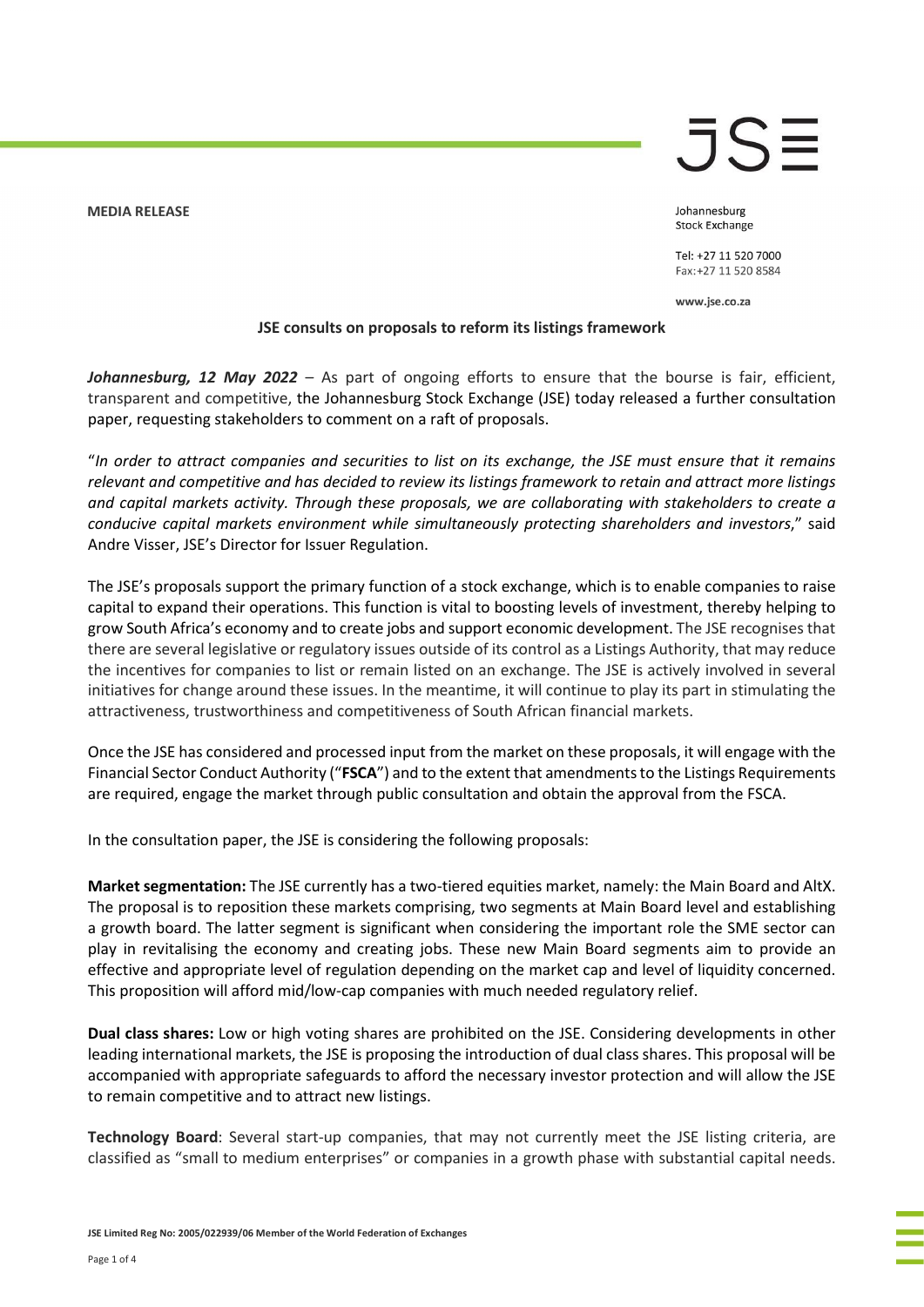**MEDIA RELEASE** 



Johannesburg **Stock Exchange** 

Tel: +27 11 520 7000 Fax: +27 11 520 8584

www.jse.co.za

## JSE consults on proposals to reform its listings framework

Johannesburg, 12 May 2022 – As part of ongoing efforts to ensure that the bourse is fair, efficient, transparent and competitive, the Johannesburg Stock Exchange (JSE) today released a further consultation paper, requesting stakeholders to comment on a raft of proposals.

"In order to attract companies and securities to list on its exchange, the JSE must ensure that it remains relevant and competitive and has decided to review its listings framework to retain and attract more listings and capital markets activity. Through these proposals, we are collaborating with stakeholders to create a conducive capital markets environment while simultaneously protecting shareholders and investors," said Andre Visser, JSE's Director for Issuer Regulation.

The JSE's proposals support the primary function of a stock exchange, which is to enable companies to raise capital to expand their operations. This function is vital to boosting levels of investment, thereby helping to grow South Africa's economy and to create jobs and support economic development. The JSE recognises that there are several legislative or regulatory issues outside of its control as a Listings Authority, that may reduce the incentives for companies to list or remain listed on an exchange. The JSE is actively involved in several initiatives for change around these issues. In the meantime, it will continue to play its part in stimulating the attractiveness, trustworthiness and competitiveness of South African financial markets.

Once the JSE has considered and processed input from the market on these proposals, it will engage with the Financial Sector Conduct Authority ("FSCA") and to the extent that amendments to the Listings Requirements are required, engage the market through public consultation and obtain the approval from the FSCA.

In the consultation paper, the JSE is considering the following proposals:

Market segmentation: The JSE currently has a two-tiered equities market, namely: the Main Board and AltX. The proposal is to reposition these markets comprising, two segments at Main Board level and establishing a growth board. The latter segment is significant when considering the important role the SME sector can play in revitalising the economy and creating jobs. These new Main Board segments aim to provide an effective and appropriate level of regulation depending on the market cap and level of liquidity concerned. This proposition will afford mid/low-cap companies with much needed regulatory relief.

Dual class shares: Low or high voting shares are prohibited on the JSE. Considering developments in other leading international markets, the JSE is proposing the introduction of dual class shares. This proposal will be accompanied with appropriate safeguards to afford the necessary investor protection and will allow the JSE to remain competitive and to attract new listings.

Technology Board: Several start-up companies, that may not currently meet the JSE listing criteria, are classified as "small to medium enterprises" or companies in a growth phase with substantial capital needs.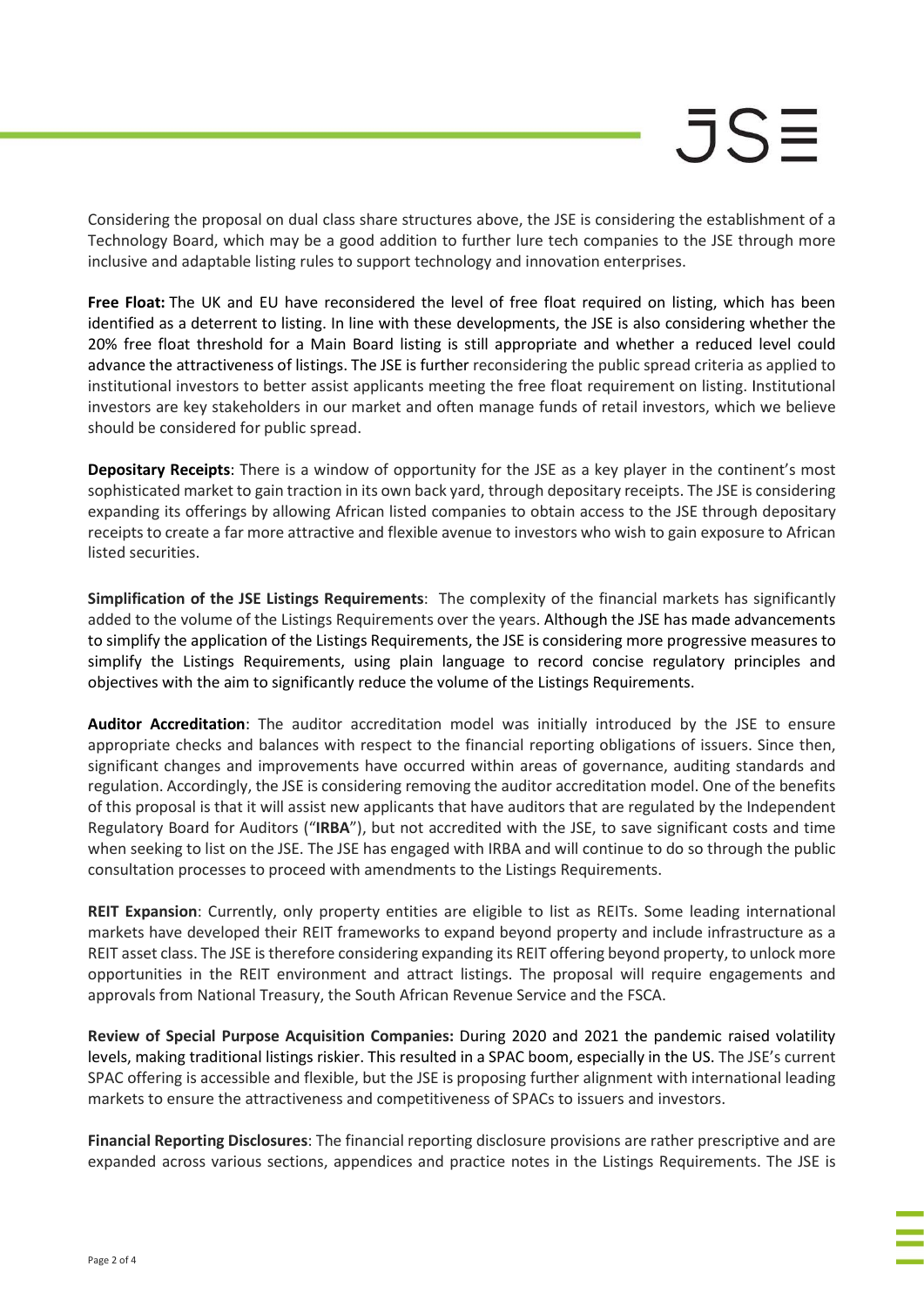Considering the proposal on dual class share structures above, the JSE is considering the establishment of a Technology Board, which may be a good addition to further lure tech companies to the JSE through more inclusive and adaptable listing rules to support technology and innovation enterprises.

Free Float: The UK and EU have reconsidered the level of free float required on listing, which has been identified as a deterrent to listing. In line with these developments, the JSE is also considering whether the 20% free float threshold for a Main Board listing is still appropriate and whether a reduced level could advance the attractiveness of listings. The JSE is further reconsidering the public spread criteria as applied to institutional investors to better assist applicants meeting the free float requirement on listing. Institutional investors are key stakeholders in our market and often manage funds of retail investors, which we believe should be considered for public spread.

**Depositary Receipts:** There is a window of opportunity for the JSE as a key player in the continent's most sophisticated market to gain traction in its own back yard, through depositary receipts. The JSE is considering expanding its offerings by allowing African listed companies to obtain access to the JSE through depositary receipts to create a far more attractive and flexible avenue to investors who wish to gain exposure to African listed securities.

Simplification of the JSE Listings Requirements: The complexity of the financial markets has significantly added to the volume of the Listings Requirements over the years. Although the JSE has made advancements to simplify the application of the Listings Requirements, the JSE is considering more progressive measures to simplify the Listings Requirements, using plain language to record concise regulatory principles and objectives with the aim to significantly reduce the volume of the Listings Requirements.

Auditor Accreditation: The auditor accreditation model was initially introduced by the JSE to ensure appropriate checks and balances with respect to the financial reporting obligations of issuers. Since then, significant changes and improvements have occurred within areas of governance, auditing standards and regulation. Accordingly, the JSE is considering removing the auditor accreditation model. One of the benefits of this proposal is that it will assist new applicants that have auditors that are regulated by the Independent Regulatory Board for Auditors ("IRBA"), but not accredited with the JSE, to save significant costs and time when seeking to list on the JSE. The JSE has engaged with IRBA and will continue to do so through the public consultation processes to proceed with amendments to the Listings Requirements.

REIT Expansion: Currently, only property entities are eligible to list as REITs. Some leading international markets have developed their REIT frameworks to expand beyond property and include infrastructure as a REIT asset class. The JSE is therefore considering expanding its REIT offering beyond property, to unlock more opportunities in the REIT environment and attract listings. The proposal will require engagements and approvals from National Treasury, the South African Revenue Service and the FSCA.

Review of Special Purpose Acquisition Companies: During 2020 and 2021 the pandemic raised volatility levels, making traditional listings riskier. This resulted in a SPAC boom, especially in the US. The JSE's current SPAC offering is accessible and flexible, but the JSE is proposing further alignment with international leading markets to ensure the attractiveness and competitiveness of SPACs to issuers and investors.

Financial Reporting Disclosures: The financial reporting disclosure provisions are rather prescriptive and are expanded across various sections, appendices and practice notes in the Listings Requirements. The JSE is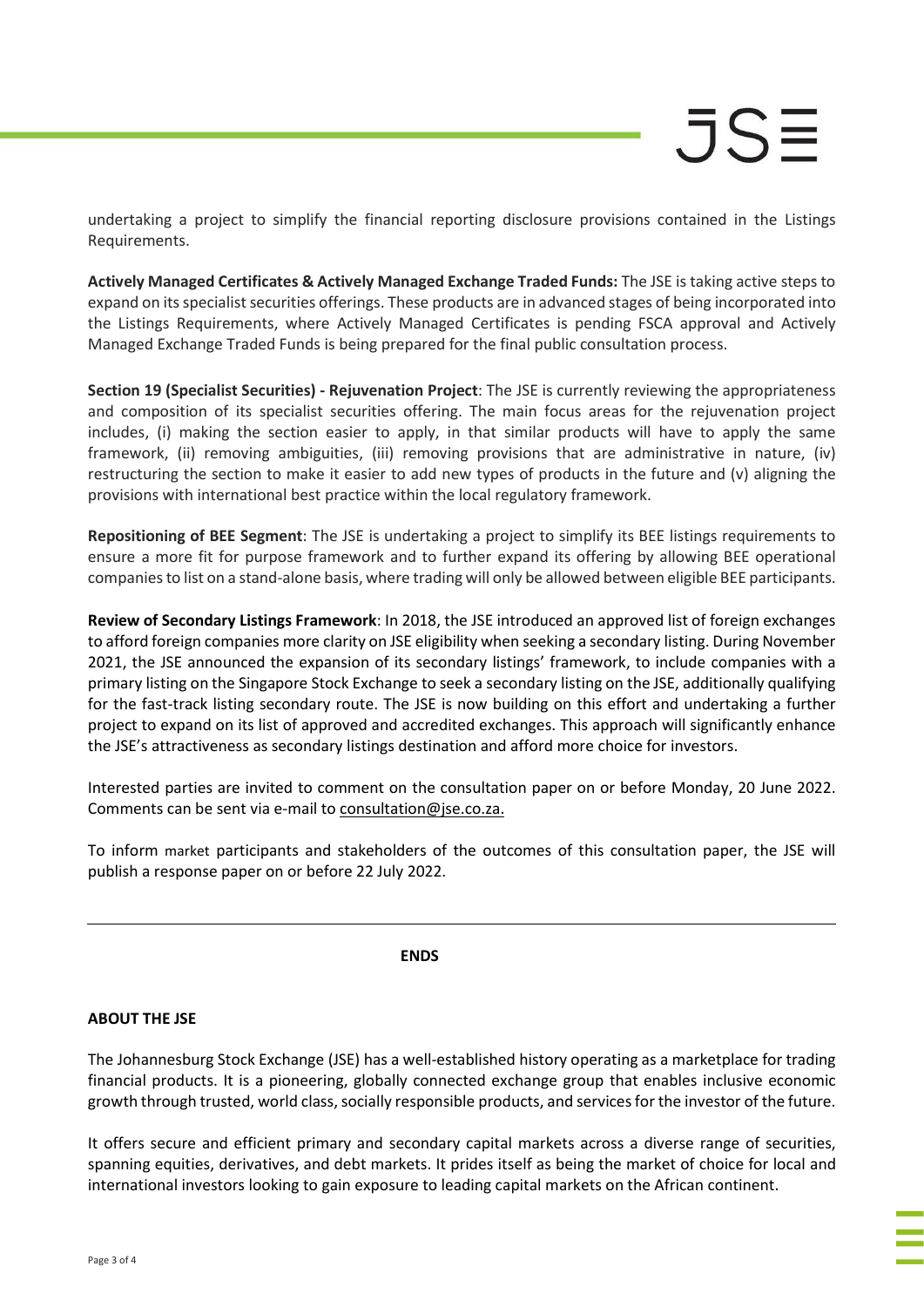undertaking a project to simplify the financial reporting disclosure provisions contained in the Listings Requirements.

Actively Managed Certificates & Actively Managed Exchange Traded Funds: The JSE is taking active steps to expand on its specialist securities offerings. These products are in advanced stages of being incorporated into the Listings Requirements, where Actively Managed Certificates is pending FSCA approval and Actively Managed Exchange Traded Funds is being prepared for the final public consultation process.

Section 19 (Specialist Securities) - Rejuvenation Project: The JSE is currently reviewing the appropriateness and composition of its specialist securities offering. The main focus areas for the rejuvenation project includes, (i) making the section easier to apply, in that similar products will have to apply the same framework, (ii) removing ambiguities, (iii) removing provisions that are administrative in nature, (iv) restructuring the section to make it easier to add new types of products in the future and (v) aligning the provisions with international best practice within the local regulatory framework.

Repositioning of BEE Segment: The JSE is undertaking a project to simplify its BEE listings requirements to ensure a more fit for purpose framework and to further expand its offering by allowing BEE operational companies to list on a stand-alone basis, where trading will only be allowed between eligible BEE participants.

Review of Secondary Listings Framework: In 2018, the JSE introduced an approved list of foreign exchanges to afford foreign companies more clarity on JSE eligibility when seeking a secondary listing. During November 2021, the JSE announced the expansion of its secondary listings' framework, to include companies with a primary listing on the Singapore Stock Exchange to seek a secondary listing on the JSE, additionally qualifying for the fast-track listing secondary route. The JSE is now building on this effort and undertaking a further project to expand on its list of approved and accredited exchanges. This approach will significantly enhance the JSE's attractiveness as secondary listings destination and afford more choice for investors.

Interested parties are invited to comment on the consultation paper on or before Monday, 20 June 2022. Comments can be sent via e-mail to consultation@jse.co.za.

To inform market participants and stakeholders of the outcomes of this consultation paper, the JSE will publish a response paper on or before 22 July 2022.

ENDS ENDS

## ABOUT THE JSE

The Johannesburg Stock Exchange (JSE) has a well-established history operating as a marketplace for trading financial products. It is a pioneering, globally connected exchange group that enables inclusive economic growth through trusted, world class, socially responsible products, and services for the investor of the future.

It offers secure and efficient primary and secondary capital markets across a diverse range of securities, spanning equities, derivatives, and debt markets. It prides itself as being the market of choice for local and international investors looking to gain exposure to leading capital markets on the African continent.